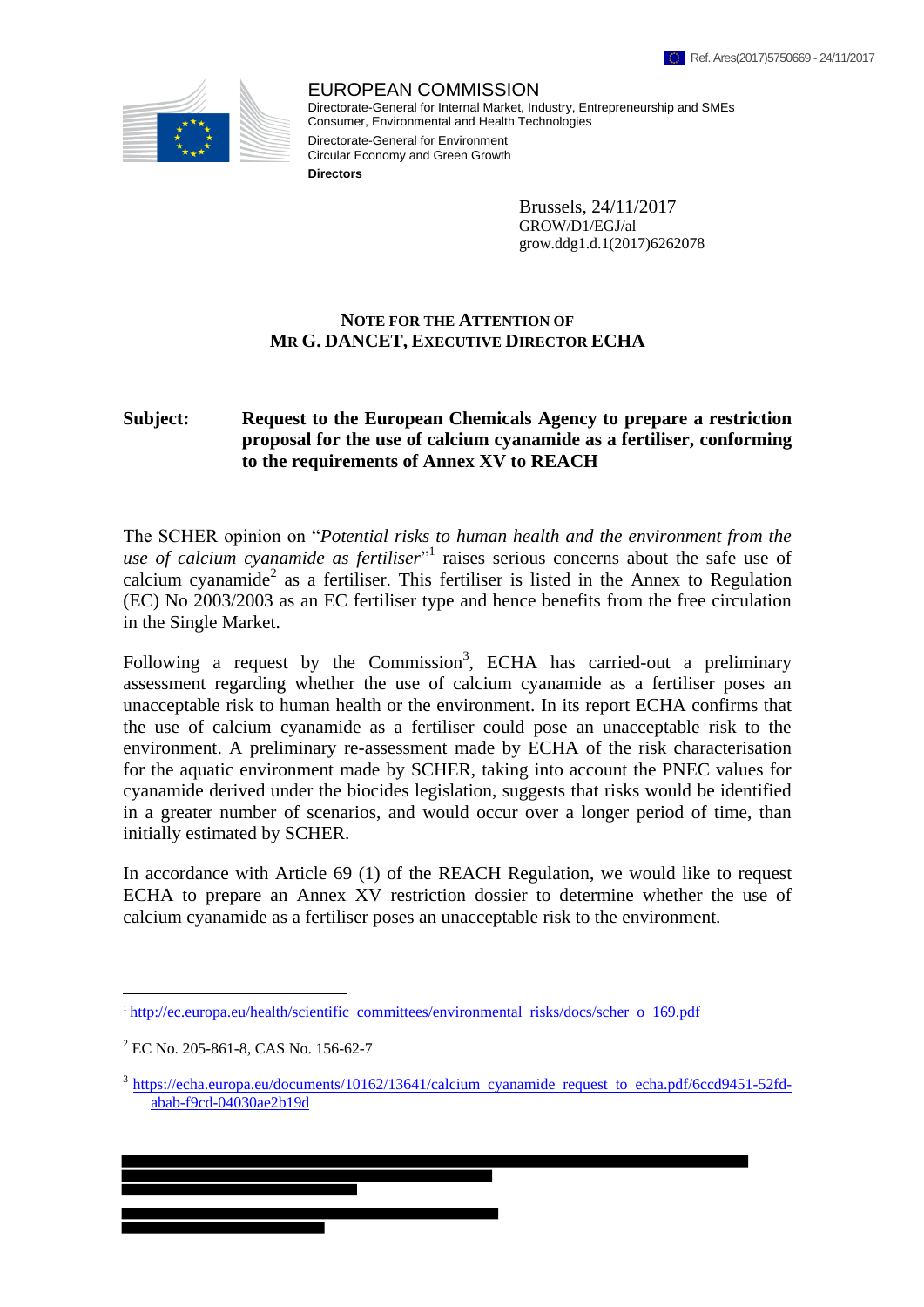

EUROPEAN COMMISSION Directorate-General for Internal Market, Industry, Entrepreneurship and SMEs Consumer, Environmental and Health Technologies Directorate-General for Environment Circular Economy and Green Growth **Directors**

> Brussels, 24/11/2017 GROW/D1/EGJ/al grow.ddg1.d.1(2017)6262078

## **NOTE FOR THE ATTENTION OF MR G. DANCET, EXECUTIVE DIRECTOR ECHA**

## **Subject: Request to the European Chemicals Agency to prepare a restriction proposal for the use of calcium cyanamide as a fertiliser, conforming to the requirements of Annex XV to REACH**

The SCHER opinion on "*Potential risks to human health and the environment from the*  use of calcium cyanamide as fertiliser<sup>"1</sup> raises serious concerns about the safe use of calcium cyanamide<sup>2</sup> as a fertiliser. This fertiliser is listed in the Annex to Regulation (EC) No 2003/2003 as an EC fertiliser type and hence benefits from the free circulation in the Single Market.

Following a request by the Commission<sup>3</sup>, ECHA has carried-out a preliminary assessment regarding whether the use of calcium cyanamide as a fertiliser poses an unacceptable risk to human health or the environment. In its report ECHA confirms that the use of calcium cyanamide as a fertiliser could pose an unacceptable risk to the environment. A preliminary re-assessment made by ECHA of the risk characterisation for the aquatic environment made by SCHER, taking into account the PNEC values for cyanamide derived under the biocides legislation, suggests that risks would be identified in a greater number of scenarios, and would occur over a longer period of time, than initially estimated by SCHER.

In accordance with Article 69 (1) of the REACH Regulation, we would like to request ECHA to prepare an Annex XV restriction dossier to determine whether the use of calcium cyanamide as a fertiliser poses an unacceptable risk to the environment.

 $\overline{a}$ 

<sup>&</sup>lt;sup>1</sup>http://ec.europa.eu/health/scientific committees/environmental risks/docs/scher o 169.pdf

<sup>2</sup> EC No. 205-861-8, CAS No. 156-62-7

<sup>&</sup>lt;sup>3</sup> https://echa.europa.eu/documents/10162/13641/calcium cyanamide request to echa.pdf/6ccd9451-52fdabab-f9cd-04030ae2b19d